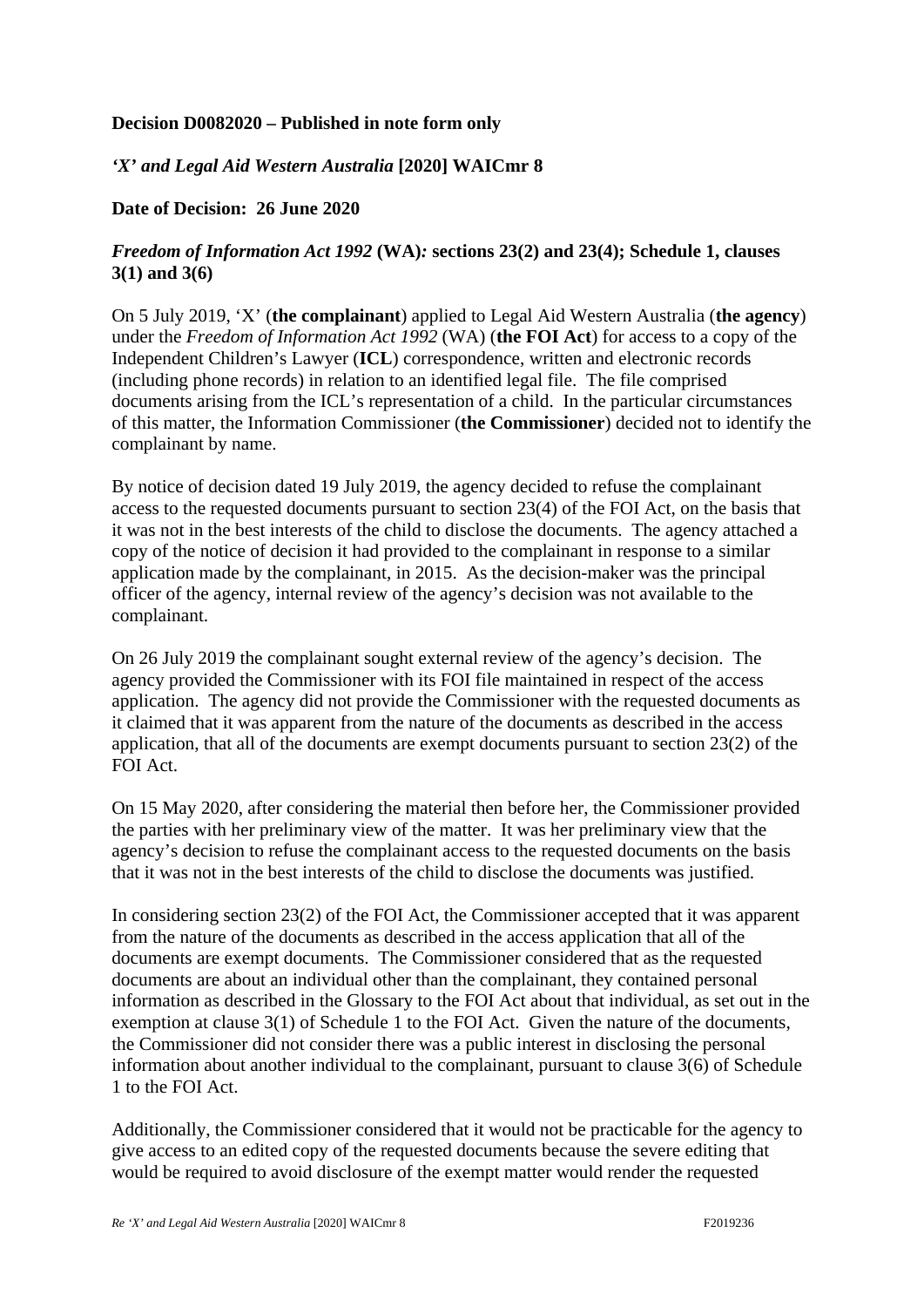## **Decision D0082020 – Published in note form only**

## *'X' and Legal Aid Western Australia* **[2020] WAICmr 8**

## **Date of Decision: 26 June 2020**

## *Freedom of Information Act 1992* **(WA)***:* **sections 23(2) and 23(4); Schedule 1, clauses 3(1) and 3(6)**

On 5 July 2019, 'X' (**the complainant**) applied to Legal Aid Western Australia (**the agency**) under the *Freedom of Information Act 1992* (WA) (**the FOI Act**) for access to a copy of the Independent Children's Lawyer (**ICL**) correspondence, written and electronic records (including phone records) in relation to an identified legal file. The file comprised documents arising from the ICL's representation of a child. In the particular circumstances of this matter, the Information Commissioner (**the Commissioner**) decided not to identify the complainant by name.

By notice of decision dated 19 July 2019, the agency decided to refuse the complainant access to the requested documents pursuant to section 23(4) of the FOI Act, on the basis that it was not in the best interests of the child to disclose the documents. The agency attached a copy of the notice of decision it had provided to the complainant in response to a similar application made by the complainant, in 2015. As the decision-maker was the principal officer of the agency, internal review of the agency's decision was not available to the complainant.

On 26 July 2019 the complainant sought external review of the agency's decision. The agency provided the Commissioner with its FOI file maintained in respect of the access application. The agency did not provide the Commissioner with the requested documents as it claimed that it was apparent from the nature of the documents as described in the access application, that all of the documents are exempt documents pursuant to section 23(2) of the FOI Act.

On 15 May 2020, after considering the material then before her, the Commissioner provided the parties with her preliminary view of the matter. It was her preliminary view that the agency's decision to refuse the complainant access to the requested documents on the basis that it was not in the best interests of the child to disclose the documents was justified.

In considering section 23(2) of the FOI Act, the Commissioner accepted that it was apparent from the nature of the documents as described in the access application that all of the documents are exempt documents. The Commissioner considered that as the requested documents are about an individual other than the complainant, they contained personal information as described in the Glossary to the FOI Act about that individual, as set out in the exemption at clause 3(1) of Schedule 1 to the FOI Act. Given the nature of the documents, the Commissioner did not consider there was a public interest in disclosing the personal information about another individual to the complainant, pursuant to clause 3(6) of Schedule 1 to the FOI Act.

Additionally, the Commissioner considered that it would not be practicable for the agency to give access to an edited copy of the requested documents because the severe editing that would be required to avoid disclosure of the exempt matter would render the requested